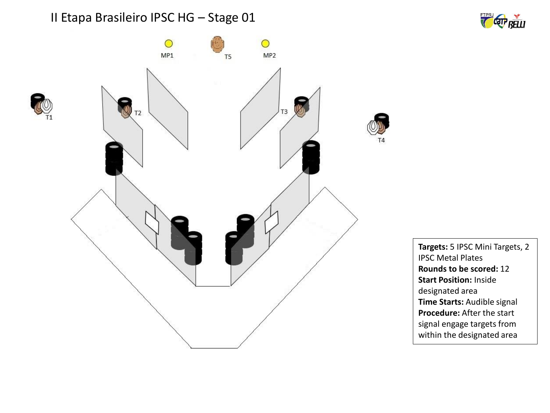





**Targets:** 5 IPSC Mini Targets, 2 IPSC Metal Plates **Rounds to be scored:** 12 **Start Position:** Inside designated area **Time Starts:** Audible signal **Procedure:** After the start signal engage targets from within the designated area

T4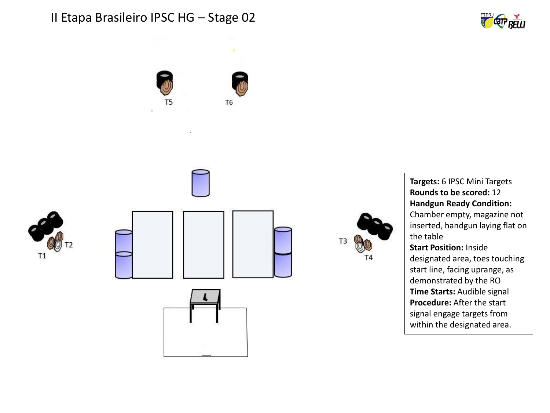



**Targets:** 6 IPSC Mini Targets **Rounds to be scored:** 12 **Handgun Ready Condition:**  Chamber empty, magazine not inserted, handgun laying flat on the table **Start Position:** Inside designated area, toes touching start line, facing uprange, as demonstrated by the RO **Time Starts:** Audible signal **Procedure:** After the start signal engage targets from within the designated area.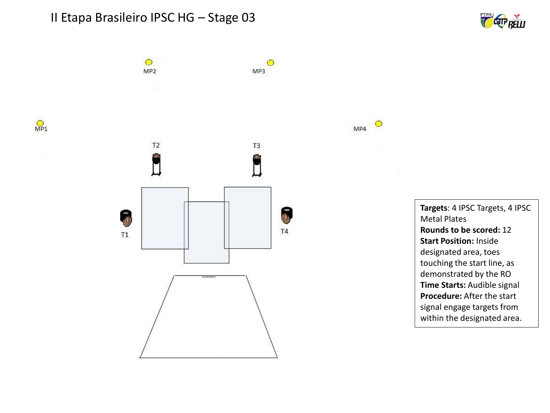$\circ$ 

MP<sub>2</sub>







 $\circ$ 

 $\circ$ 

MP4

MP3

**Targets**: 4 IPSC Targets, 4 IPSC Metal Plates **Rounds to be scored:** 12 **Start Position:** Inside designated area, toes touching the start line, as demonstrated by the RO **Time Starts:** Audible signal **Procedure:** After the start signal engage targets from within the designated area.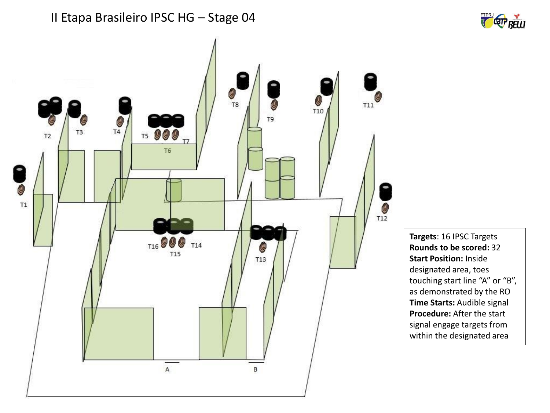![](_page_3_Figure_1.jpeg)

**Targets**: 16 IPSC Targets **Rounds to be scored:** 32 **Start Position:** Inside designated area, toes touching start line "A" or "B", as demonstrated by the RO **Time Starts:** Audible signal **Procedure:** After the start signal engage targets from within the designated area

![](_page_3_Picture_3.jpeg)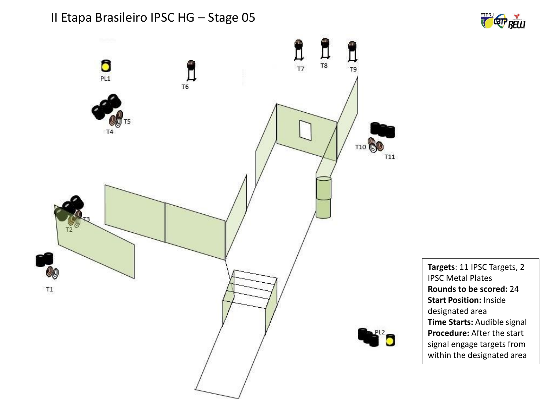![](_page_4_Figure_1.jpeg)

![](_page_4_Figure_2.jpeg)

**Targets**: 11 IPSC Targets, 2 IPSC Metal Plates **Rounds to be scored:** 24 **Start Position:** Inside designated area **Time Starts:** Audible signal **Procedure:** After the start signal engage targets from within the designated area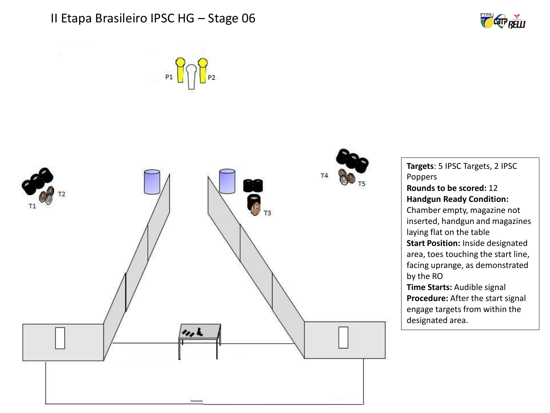![](_page_5_Picture_1.jpeg)

![](_page_5_Figure_2.jpeg)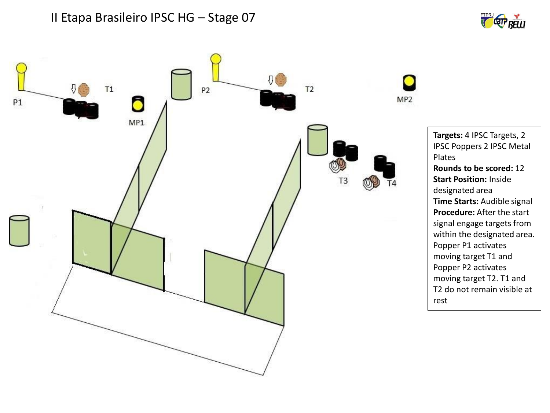![](_page_6_Picture_1.jpeg)

![](_page_6_Figure_2.jpeg)

**Targets:** 4 IPSC Targets, 2 IPSC Poppers 2 IPSC Metal Plates **Rounds to be scored:** 12 **Start Position:** Inside designated area **Time Starts:** Audible signal **Procedure:** After the start signal engage targets from within the designated area. Popper P1 activates moving target T1 and Popper P2 activates moving target T2. T1 and T2 do not remain visible at rest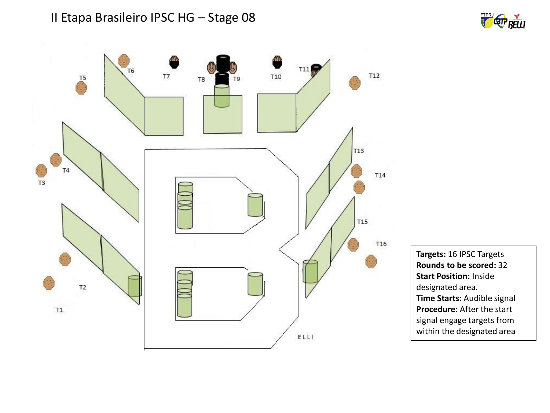![](_page_7_Picture_1.jpeg)

![](_page_7_Figure_2.jpeg)

**Targets:** 16 IPSC Targets **Rounds to be scored:** 32 **Start Position:** Inside designated area. **Time Starts:** Audible signal **Procedure:** After the start signal engage targets from within the designated area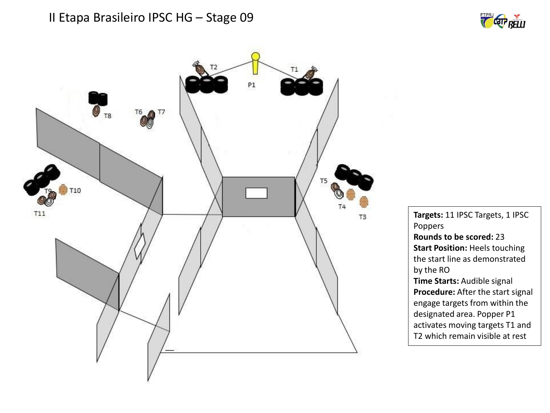![](_page_8_Picture_1.jpeg)

![](_page_8_Picture_2.jpeg)

**Targets:** 11 IPSC Targets, 1 IPSC Poppers **Rounds to be scored:** 23 **Start Position:** Heels touching the start line as demonstrated by the RO **Time Starts:** Audible signal **Procedure:** After the start signal engage targets from within the designated area. Popper P1 activates moving targets T1 and T2 which remain visible at rest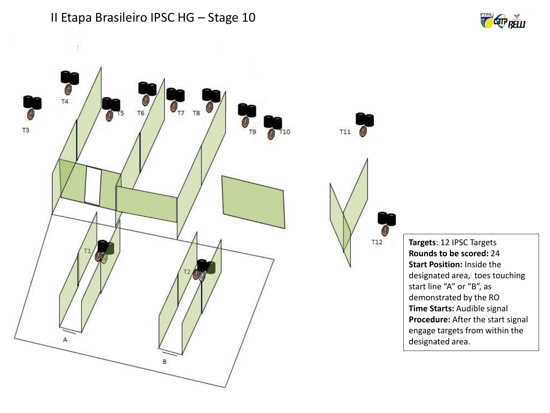![](_page_9_Figure_0.jpeg)

![](_page_9_Figure_1.jpeg)

![](_page_9_Figure_2.jpeg)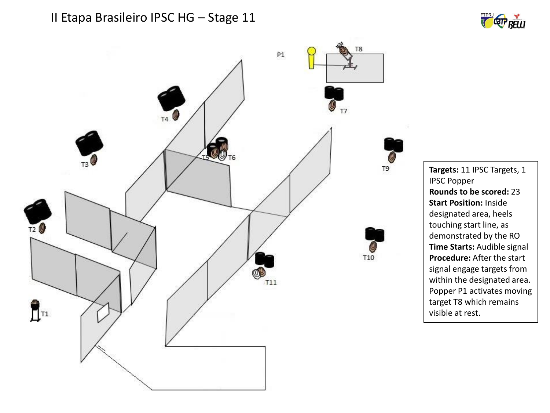![](_page_10_Picture_1.jpeg)

![](_page_10_Figure_2.jpeg)

**Targets:** 11 IPSC Targets, 1 IPSC Popper **Rounds to be scored:** 23 **Start Position:** Inside designated area, heels touching start line, as demonstrated by the RO **Time Starts:** Audible signal **Procedure:** After the start signal engage targets from within the designated area. Popper P1 activates moving target T8 which remains visible at rest.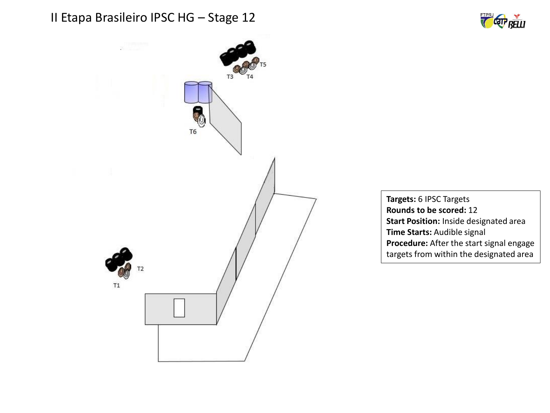![](_page_11_Picture_1.jpeg)

![](_page_11_Picture_2.jpeg)

**Targets:** 6 IPSC Targets **Rounds to be scored:** 12 **Start Position:** Inside designated area **Time Starts:** Audible signal **Procedure:** After the start signal engage targets from within the designated area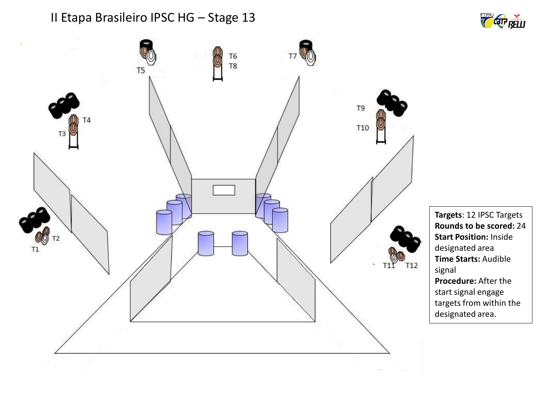![](_page_12_Figure_1.jpeg)

![](_page_12_Figure_2.jpeg)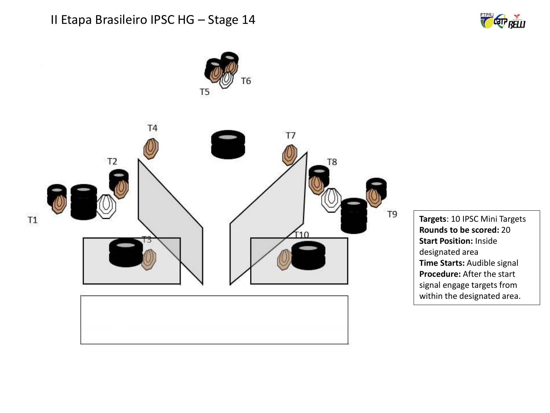![](_page_13_Picture_1.jpeg)

![](_page_13_Picture_2.jpeg)

**Targets**: 10 IPSC Mini Targets **Rounds to be scored:** 20 **Start Position:** Inside designated area **Time Starts:** Audible signal **Procedure:** After the start signal engage targets from within the designated area.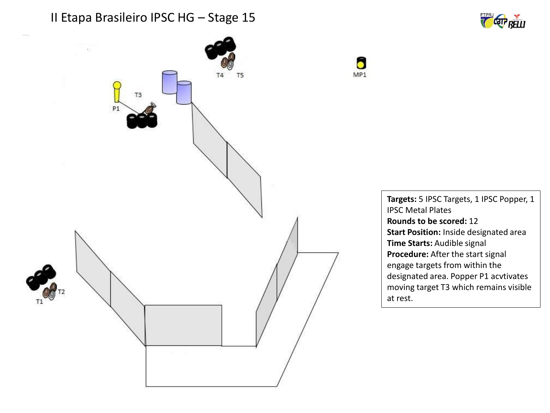![](_page_14_Picture_1.jpeg)

![](_page_14_Figure_2.jpeg)

![](_page_14_Figure_3.jpeg)

**Targets:** 5 IPSC Targets, 1 IPSC Popper, 1 IPSC Metal Plates **Rounds to be scored:** 12 **Start Position:** Inside designated area **Time Starts:** Audible signal **Procedure:** After the start signal engage targets from within the designated area. Popper P1 acvtivates moving target T3 which remains visible at rest.